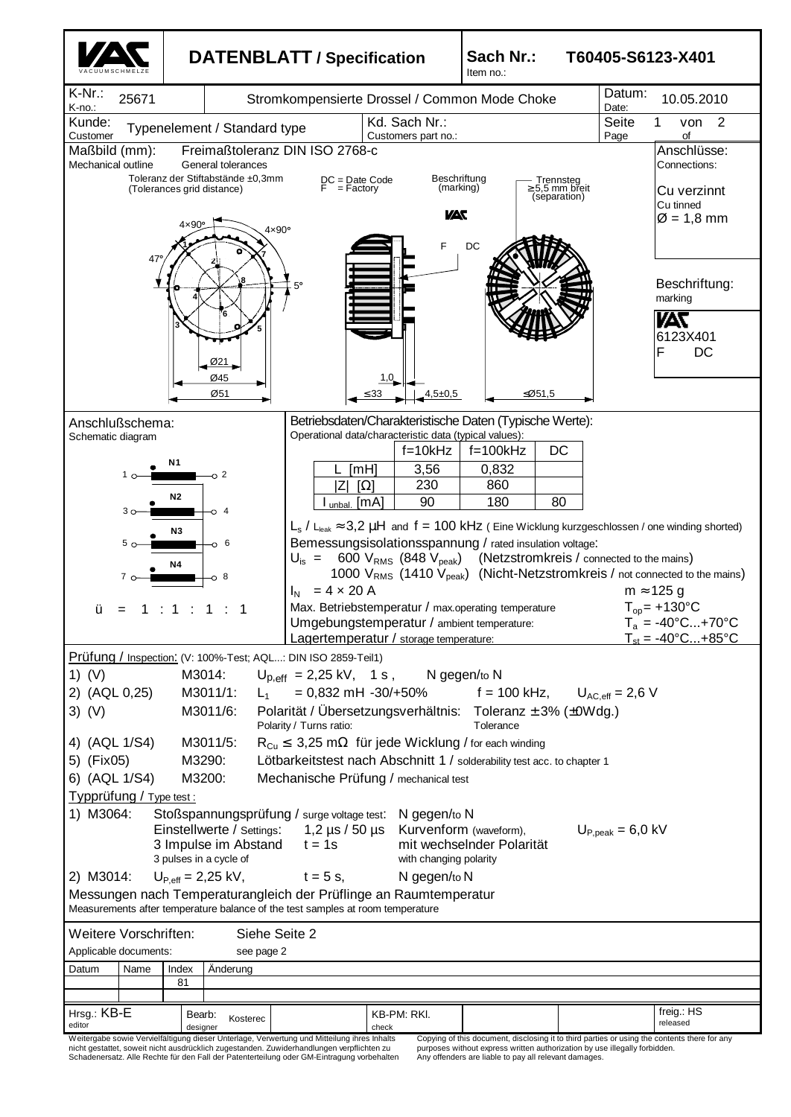

nicht gestattet, soweit nicht ausdrücklich zugestanden. Zuwiderhandlungen verpflichten zu Schadenersatz. Alle Rechte für den Fall der Patenterteilung oder GM-Eintragung vorbehalten

purposes without express written authorization by use illegally forbidden. Any offenders are liable to pay all relevant damages.